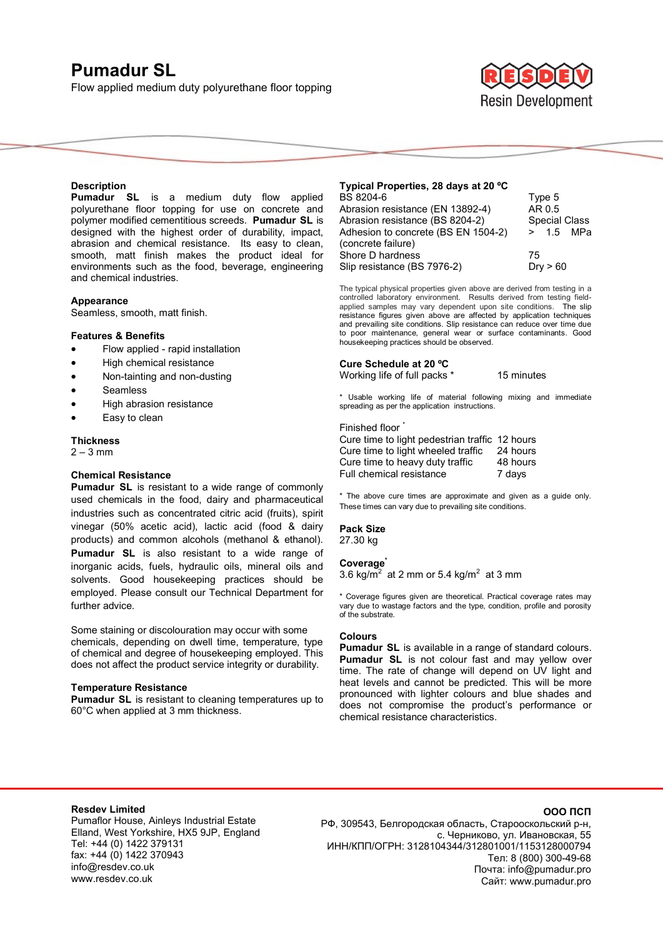# **Pumadur SL**

Flow applied medium duty polyurethane floor topping



#### **Description**

**Pumadur SL** is a medium duty flow applied polyurethane floor topping for use on concrete and polymer modified cementitious screeds. **Pumadur SL** is designed with the highest order of durability, impact, abrasion and chemical resistance. Its easy to clean, smooth, matt finish makes the product ideal for environments such as the food, beverage, engineering and chemical industries.

#### **Appearance**

Seamless, smooth, matt finish.

#### **Features & Benefits**

- Flow applied rapid installation
- High chemical resistance
- Non-tainting and non-dusting
- Seamless
- High abrasion resistance
- Easy to clean

#### **Thickness**

 $2 - 3$  mm

#### **Chemical Resistance**

**Pumadur SL** is resistant to a wide range of commonly used chemicals in the food, dairy and pharmaceutical industries such as concentrated citric acid (fruits), spirit vinegar (50% acetic acid), lactic acid (food & dairy products) and common alcohols (methanol & ethanol). **Pumadur SL** is also resistant to a wide range of inorganic acids, fuels, hydraulic oils, mineral oils and solvents. Good housekeeping practices should be employed. Please consult our Technical Department for further advice.

Some staining or discolouration may occur with some chemicals, depending on dwell time, temperature, type of chemical and degree of housekeeping employed. This does not affect the product service integrity or durability.

#### **Temperature Resistance**

**Pumadur SL** is resistant to cleaning temperatures up to 60°C when applied at 3 mm thickness.

| Typical Properties, 28 days at 20 °C |                      |
|--------------------------------------|----------------------|
| BS 8204-6                            | Type 5               |
| Abrasion resistance (EN 13892-4)     | AR 0.5               |
| Abrasion resistance (BS 8204-2)      | <b>Special Class</b> |
| Adhesion to concrete (BS EN 1504-2)  | > 1.5 MPa            |
| (concrete failure)                   |                      |
| Shore D hardness                     | 75                   |
| Slip resistance (BS 7976-2)          | Drv > 60             |

The typical physical properties given above are derived from testing in a controlled laboratory environment. Results derived from testing fieldapplied samples may vary dependent upon site conditions. The slip resistance figures given above are affected by application techniques and prevailing site conditions. Slip resistance can reduce over time due to poor maintenance, general wear or surface contaminants. Good housekeeping practices should be observed.

#### **Cure Schedule at 20 ºC**

Working life of full packs \* 15 minutes

\* Usable working life of material following mixing and immediate spreading as per the application instructions.

#### Finished floor \*

Cure time to light pedestrian traffic 12 hours Cure time to light wheeled traffic 24 hours<br>Cure time to heavy duty traffic 48 hours Cure time to heavy duty traffic Full chemical resistance 7 days

\* The above cure times are approximate and given as a guide only. These times can vary due to prevailing site conditions.

#### **Pack Size**  27.30 kg

#### **Coverage\***

3.6 kg/m<sup>2</sup> at 2 mm or 5.4 kg/m<sup>2</sup> at 3 mm

\* Coverage figures given are theoretical. Practical coverage rates may vary due to wastage factors and the type, condition, profile and porosity of the substrate.

#### **Colours**

**Pumadur SL** is available in a range of standard colours. **Pumadur SL** is not colour fast and may yellow over time. The rate of change will depend on UV light and heat levels and cannot be predicted. This will be more pronounced with lighter colours and blue shades and does not compromise the product's performance or chemical resistance characteristics.

## **Resdev Limited**

Pumaflor House, Ainleys Industrial Estate Elland, West Yorkshire, HX5 9JP, England Tel: +44 (0) 1422 379131 fax: +44 (0) 1422 370943 info@resdev.co.uk www.resdev.co.uk

РФ, 309543, Белгородская область, Старооскольский р-н, с. Черниково, ул. Ивановская, 55 ИНН/КПП/ОГРН: 3128104344/312801001/1153128000794 Тел: 8 (800) 300-49-68 Почта: info@pumadur.pro Сайт: www.pumadur.pro

**ООО ПСП**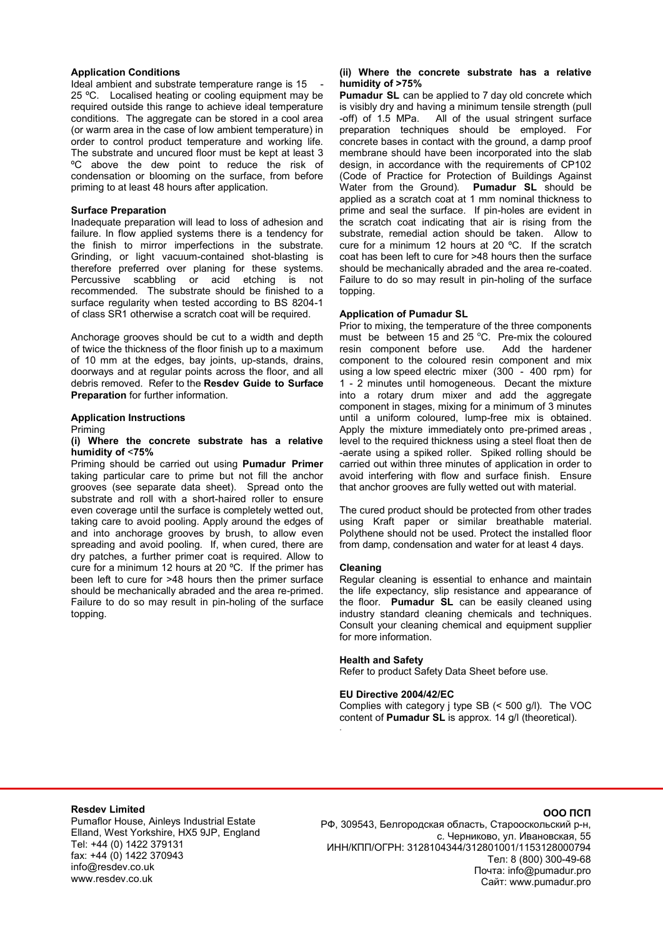#### **Application Conditions**

Ideal ambient and substrate temperature range is 15 25 ºC. Localised heating or cooling equipment may be required outside this range to achieve ideal temperature conditions. The aggregate can be stored in a cool area (or warm area in the case of low ambient temperature) in order to control product temperature and working life. The substrate and uncured floor must be kept at least 3 ºC above the dew point to reduce the risk of condensation or blooming on the surface, from before priming to at least 48 hours after application.

#### **Surface Preparation**

Inadequate preparation will lead to loss of adhesion and failure. In flow applied systems there is a tendency for the finish to mirror imperfections in the substrate. Grinding, or light vacuum-contained shot-blasting is therefore preferred over planing for these systems. Percussive scabbling or acid etching is not recommended. The substrate should be finished to a surface regularity when tested according to BS 8204-1 of class SR1 otherwise a scratch coat will be required.

Anchorage grooves should be cut to a width and depth of twice the thickness of the floor finish up to a maximum of 10 mm at the edges, bay joints, up-stands, drains, doorways and at regular points across the floor, and all debris removed. Refer to the **Resdev Guide to Surface Preparation** for further information.

#### **Application Instructions**

Priming

#### **(i) Where the concrete substrate has a relative humidity of** <**75%**

Priming should be carried out using **Pumadur Primer** taking particular care to prime but not fill the anchor grooves (see separate data sheet). Spread onto the substrate and roll with a short-haired roller to ensure even coverage until the surface is completely wetted out, taking care to avoid pooling. Apply around the edges of and into anchorage grooves by brush, to allow even spreading and avoid pooling. If, when cured, there are dry patches, a further primer coat is required. Allow to cure for a minimum 12 hours at 20 ºC. If the primer has been left to cure for >48 hours then the primer surface should be mechanically abraded and the area re-primed. Failure to do so may result in pin-holing of the surface topping.

## **(ii) Where the concrete substrate has a relative humidity of >75%**

**Pumadur SL** can be applied to 7 day old concrete which is visibly dry and having a minimum tensile strength (pull -off) of 1.5 MPa. All of the usual stringent surface preparation techniques should be employed. For concrete bases in contact with the ground, a damp proof membrane should have been incorporated into the slab design, in accordance with the requirements of CP102 (Code of Practice for Protection of Buildings Against Water from the Ground). **Pumadur SL** should be applied as a scratch coat at 1 mm nominal thickness to prime and seal the surface. If pin-holes are evident in the scratch coat indicating that air is rising from the substrate, remedial action should be taken. Allow to cure for a minimum 12 hours at 20 ºC. If the scratch coat has been left to cure for >48 hours then the surface should be mechanically abraded and the area re-coated. Failure to do so may result in pin-holing of the surface topping.

## **Application of Pumadur SL**

Prior to mixing, the temperature of the three components must be between 15 and 25  $^{\circ}$ C. Pre-mix the coloured resin component before use. Add the hardener component to the coloured resin component and mix using a low speed electric mixer (300 - 400 rpm) for 1 - 2 minutes until homogeneous. Decant the mixture into a rotary drum mixer and add the aggregate component in stages, mixing for a minimum of 3 minutes until a uniform coloured, lump-free mix is obtained. Apply the mixture immediately onto pre-primed areas , level to the required thickness using a steel float then de -aerate using a spiked roller. Spiked rolling should be carried out within three minutes of application in order to avoid interfering with flow and surface finish. Ensure that anchor grooves are fully wetted out with material.

The cured product should be protected from other trades using Kraft paper or similar breathable material. Polythene should not be used. Protect the installed floor from damp, condensation and water for at least 4 days.

## **Cleaning**

.

Regular cleaning is essential to enhance and maintain the life expectancy, slip resistance and appearance of the floor. **Pumadur SL** can be easily cleaned using industry standard cleaning chemicals and techniques. Consult your cleaning chemical and equipment supplier for more information.

## **Health and Safety**

Refer to product Safety Data Sheet before use.

## **EU Directive 2004/42/EC**

Complies with category j type SB (< 500 g/l). The VOC content of **Pumadur SL** is approx. 14 g/l (theoretical).

## **Resdev Limited**

Pumaflor House, Ainleys Industrial Estate Elland, West Yorkshire, HX5 9JP, England Tel: +44 (0) 1422 379131 fax: +44 (0) 1422 370943 info@resdev.co.uk www.resdev.co.uk

## **ООО ПСП**

РФ, 309543, Белгородская область, Старооскольский р-н, с. Черниково, ул. Ивановская, 55 ИНН/КПП/ОГРН: 3128104344/312801001/1153128000794 Тел: 8 (800) 300-49-68 Почта: info@pumadur.pro Сайт: www.pumadur.pro